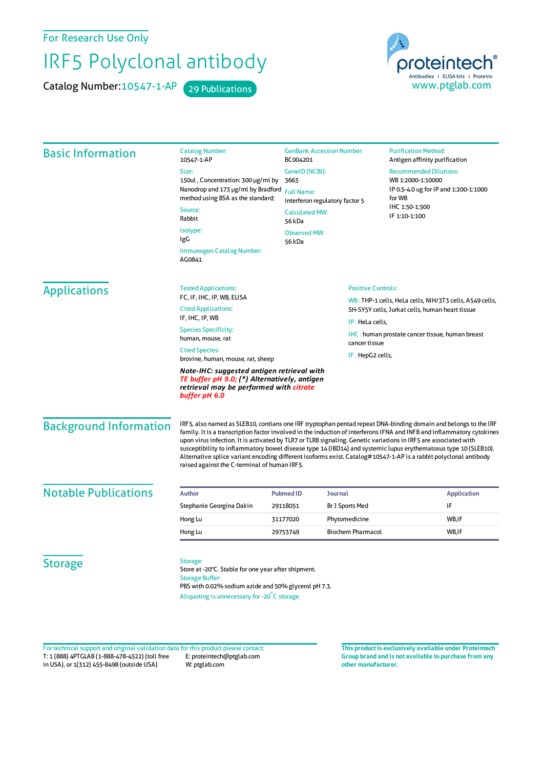For Research Use Only

## IRF5 Polyclonal antibody

Catalog Number: 10547-1-AP 29 Publications



| <b>Basic Information</b>      | <b>Catalog Number:</b><br>10547-1-AP                                                                                                                                                                                                                                                                                                                                                                                                                                                                                                                                                                                                                | <b>GenBank Accession Number:</b><br>BC004201<br>GeneID (NCBI):<br>3663<br><b>Full Name:</b><br>interferon regulatory factor 5<br><b>Calculated MW:</b><br>56 kDa |                           | <b>Purification Method:</b><br>Antigen affinity purification                                                                             |  |
|-------------------------------|-----------------------------------------------------------------------------------------------------------------------------------------------------------------------------------------------------------------------------------------------------------------------------------------------------------------------------------------------------------------------------------------------------------------------------------------------------------------------------------------------------------------------------------------------------------------------------------------------------------------------------------------------------|------------------------------------------------------------------------------------------------------------------------------------------------------------------|---------------------------|------------------------------------------------------------------------------------------------------------------------------------------|--|
|                               | Size:                                                                                                                                                                                                                                                                                                                                                                                                                                                                                                                                                                                                                                               |                                                                                                                                                                  |                           | <b>Recommended Dilutions:</b><br>WB 1:2000-1:10000<br>IP 0.5-4.0 ug for IP and 1:200-1:1000<br>for WB<br>IHC 1:50-1:500<br>IF 1:10-1:100 |  |
|                               | 150ul, Concentration: 300 µg/ml by                                                                                                                                                                                                                                                                                                                                                                                                                                                                                                                                                                                                                  |                                                                                                                                                                  |                           |                                                                                                                                          |  |
|                               | Nanodrop and 173 µg/ml by Bradford<br>method using BSA as the standard;                                                                                                                                                                                                                                                                                                                                                                                                                                                                                                                                                                             |                                                                                                                                                                  |                           |                                                                                                                                          |  |
|                               | Source:<br>Rabbit                                                                                                                                                                                                                                                                                                                                                                                                                                                                                                                                                                                                                                   |                                                                                                                                                                  |                           |                                                                                                                                          |  |
|                               | Isotype:<br>IgG                                                                                                                                                                                                                                                                                                                                                                                                                                                                                                                                                                                                                                     | <b>Observed MW:</b><br>56 kDa                                                                                                                                    |                           |                                                                                                                                          |  |
|                               | Immunogen Catalog Number:<br>AG0841                                                                                                                                                                                                                                                                                                                                                                                                                                                                                                                                                                                                                 |                                                                                                                                                                  |                           |                                                                                                                                          |  |
| <b>Applications</b>           | <b>Tested Applications:</b>                                                                                                                                                                                                                                                                                                                                                                                                                                                                                                                                                                                                                         |                                                                                                                                                                  | <b>Positive Controls:</b> |                                                                                                                                          |  |
|                               | FC, IF, IHC, IP, WB, ELISA                                                                                                                                                                                                                                                                                                                                                                                                                                                                                                                                                                                                                          |                                                                                                                                                                  |                           | WB: THP-1 cells, HeLa cells, NIH/3T3 cells, A549 cells,                                                                                  |  |
|                               | <b>Cited Applications:</b><br>IF, IHC, IP, WB                                                                                                                                                                                                                                                                                                                                                                                                                                                                                                                                                                                                       |                                                                                                                                                                  |                           | SH-SY5Y cells, Jurkat cells, human heart tissue<br>IP: HeLa cells,                                                                       |  |
|                               | <b>Species Specificity:</b><br>human, mouse, rat                                                                                                                                                                                                                                                                                                                                                                                                                                                                                                                                                                                                    | cancer tissue                                                                                                                                                    |                           | <b>IHC</b> : human prostate cancer tissue, human breast                                                                                  |  |
|                               | <b>Cited Species:</b><br>brovine, human, mouse, rat, sheep                                                                                                                                                                                                                                                                                                                                                                                                                                                                                                                                                                                          |                                                                                                                                                                  | IF: HepG2 cells,          |                                                                                                                                          |  |
|                               | Note-IHC: suggested antigen retrieval with<br>TE buffer pH 9.0; (*) Alternatively, antigen<br>retrieval may be performed with citrate<br>buffer pH 6.0                                                                                                                                                                                                                                                                                                                                                                                                                                                                                              |                                                                                                                                                                  |                           |                                                                                                                                          |  |
| <b>Background Information</b> | IRF5, also named as SLEB10, contians one IRF tryptophan pentad repeat DNA-binding domain and belongs to the IRF<br>family. It is a transcription factor involved in the induction of interferons IFNA and INFB and inflammatory cytokines<br>upon virus infection. It is activated by TLR7 or TLR8 signaling. Genetic variations in IRF5 are associated with<br>susceptibility to inflammatory bowel disease type 14 (IBD14) and systemic lupus erythematosus type 10 (SLEB10).<br>Alternative splice variant encoding different isoforms exist. Catalog#10547-1-AP is a rabbit polyclonal antibody<br>raised against the C-terminal of human IRF5. |                                                                                                                                                                  |                           |                                                                                                                                          |  |
| <b>Notable Publications</b>   | <b>Author</b>                                                                                                                                                                                                                                                                                                                                                                                                                                                                                                                                                                                                                                       | <b>Pubmed ID</b>                                                                                                                                                 | <b>Journal</b>            | <b>Application</b>                                                                                                                       |  |
|                               | Stephanie Georgina Dakin                                                                                                                                                                                                                                                                                                                                                                                                                                                                                                                                                                                                                            | 29118051                                                                                                                                                         | Br J Sports Med           | IF                                                                                                                                       |  |
|                               | Hong Lu                                                                                                                                                                                                                                                                                                                                                                                                                                                                                                                                                                                                                                             | 31177020                                                                                                                                                         | Phytomedicine             | WB,IF                                                                                                                                    |  |
|                               | Hong Lu                                                                                                                                                                                                                                                                                                                                                                                                                                                                                                                                                                                                                                             | 29753749                                                                                                                                                         | <b>Biochem Pharmacol</b>  | WB, IF                                                                                                                                   |  |
| <b>Storage</b>                | Storage:<br>Store at -20°C. Stable for one year after shipment.<br><b>Storage Buffer:</b><br>PBS with 0.02% sodium azide and 50% glycerol pH 7.3.                                                                                                                                                                                                                                                                                                                                                                                                                                                                                                   |                                                                                                                                                                  |                           |                                                                                                                                          |  |

Aliquoting is unnecessary for -20<sup>°</sup>C storage

T: 1 (888) 4PTGLAB (1-888-478-4522) (toll free in USA), or 1(312) 455-8498 (outside USA) E: proteintech@ptglab.com W: ptglab.com Fortechnical support and original validation data forthis product please contact: **This productis exclusively available under Proteintech**

**Group brand and is not available to purchase from any other manufacturer.**